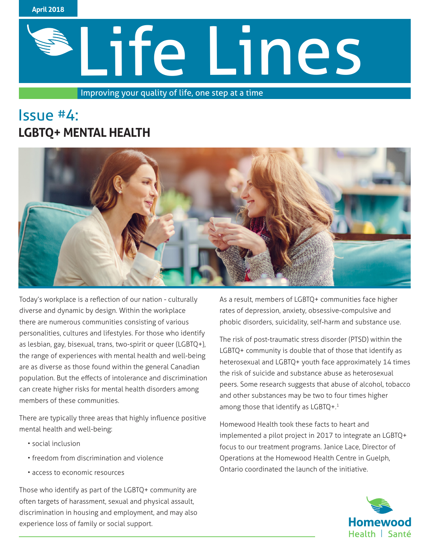

Improving your quality of life, one step at a time

# Issue #4: **LGBTQ+ MENTAL HEALTH**



Today's workplace is a reflection of our nation - culturally diverse and dynamic by design. Within the workplace there are numerous communities consisting of various personalities, cultures and lifestyles. For those who identify as lesbian, gay, bisexual, trans, two-spirit or queer (LGBTQ+), the range of experiences with mental health and well-being are as diverse as those found within the general Canadian population. But the effects of intolerance and discrimination can create higher risks for mental health disorders among members of these communities.

There are typically three areas that highly influence positive mental health and well-being:

- social inclusion
- freedom from discrimination and violence
- access to economic resources

Those who identify as part of the LGBTQ+ community are often targets of harassment, sexual and physical assault, discrimination in housing and employment, and may also experience loss of family or social support.

As a result, members of LGBTQ+ communities face higher rates of depression, anxiety, obsessive-compulsive and phobic disorders, suicidality, self-harm and substance use.

The risk of post-traumatic stress disorder (PTSD) within the LGBTQ+ community is double that of those that identify as heterosexual and LGBTQ+ youth face approximately 14 times the risk of suicide and substance abuse as heterosexual peers. Some research suggests that abuse of alcohol, tobacco and other substances may be two to four times higher among those that identify as LGBTQ+.<sup>1</sup>

Homewood Health took these facts to heart and implemented a pilot project in 2017 to integrate an LGBTQ+ focus to our treatment programs. Janice Lace, Director of Operations at the Homewood Health Centre in Guelph, Ontario coordinated the launch of the initiative.

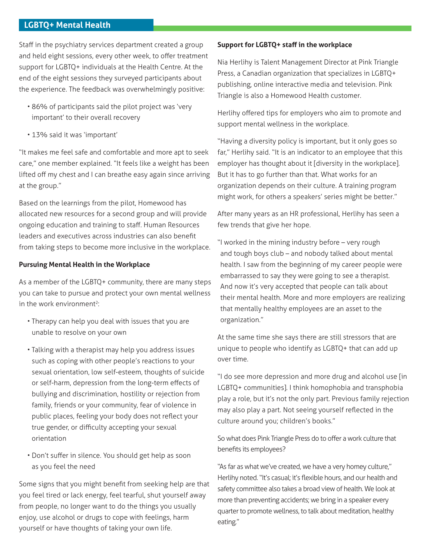## **LGBTQ+ Mental Health**

Staff in the psychiatry services department created a group and held eight sessions, every other week, to offer treatment support for LGBTQ+ individuals at the Health Centre. At the end of the eight sessions they surveyed participants about the experience. The feedback was overwhelmingly positive:

- 86% of participants said the pilot project was 'very important' to their overall recovery
- 13% said it was 'important'

"It makes me feel safe and comfortable and more apt to seek care," one member explained. "It feels like a weight has been lifted off my chest and I can breathe easy again since arriving at the group."

Based on the learnings from the pilot, Homewood has allocated new resources for a second group and will provide ongoing education and training to staff. Human Resources leaders and executives across industries can also benefit from taking steps to become more inclusive in the workplace.

#### **Pursuing Mental Health in the Workplace**

As a member of the LGBTQ+ community, there are many steps you can take to pursue and protect your own mental wellness in the work environment<sup>2</sup>:

- Therapy can help you deal with issues that you are unable to resolve on your own
- Talking with a therapist may help you address issues such as coping with other people's reactions to your sexual orientation, low self-esteem, thoughts of suicide or self-harm, depression from the long-term effects of bullying and discrimination, hostility or rejection from family, friends or your community, fear of violence in public places, feeling your body does not reflect your true gender, or difficulty accepting your sexual orientation
- Don't suffer in silence. You should get help as soon as you feel the need

Some signs that you might benefit from seeking help are that you feel tired or lack energy, feel tearful, shut yourself away from people, no longer want to do the things you usually enjoy, use alcohol or drugs to cope with feelings, harm yourself or have thoughts of taking your own life.

### **Support for LGBTQ+ staff in the workplace**

Nia Herlihy is Talent Management Director at Pink Triangle Press, a Canadian organization that specializes in LGBTQ+ publishing, online interactive media and television. Pink Triangle is also a Homewood Health customer.

Herlihy offered tips for employers who aim to promote and support mental wellness in the workplace.

"Having a diversity policy is important, but it only goes so far," Herlihy said. "It is an indicator to an employee that this employer has thought about it [diversity in the workplace]. But it has to go further than that. What works for an organization depends on their culture. A training program might work, for others a speakers' series might be better."

After many years as an HR professional, Herlihy has seen a few trends that give her hope.

"I worked in the mining industry before – very rough and tough boys club – and nobody talked about mental health. I saw from the beginning of my career people were embarrassed to say they were going to see a therapist. And now it's very accepted that people can talk about their mental health. More and more employers are realizing that mentally healthy employees are an asset to the organization."

At the same time she says there are still stressors that are unique to people who identify as LGBTQ+ that can add up over time.

"I do see more depression and more drug and alcohol use [in LGBTQ+ communities]. I think homophobia and transphobia play a role, but it's not the only part. Previous family rejection may also play a part. Not seeing yourself reflected in the culture around you; children's books."

So what does Pink Triangle Press do to offer a work culture that benefits its employees?

"As far as what we've created, we have a very homey culture," Herlihy noted. "It's casual; it's flexible hours, and our health and safety committee also takes a broad view of health. We look at more than preventing accidents; we bring in a speaker every quarter to promote wellness, to talk about meditation, healthy eating."